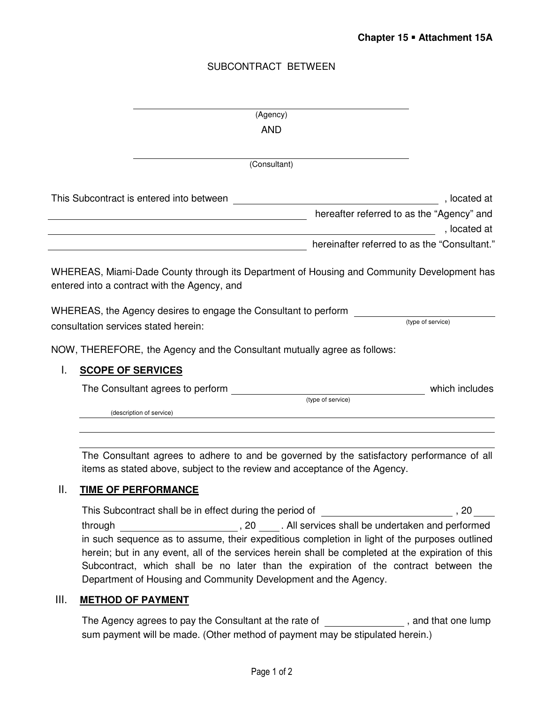# SUBCONTRACT BETWEEN

|    | (Agency)                                                                                                                                                                                                                                              |                   |
|----|-------------------------------------------------------------------------------------------------------------------------------------------------------------------------------------------------------------------------------------------------------|-------------------|
|    | <b>AND</b>                                                                                                                                                                                                                                            |                   |
|    |                                                                                                                                                                                                                                                       |                   |
|    | (Consultant)                                                                                                                                                                                                                                          |                   |
|    | This Subcontract is entered into between                                                                                                                                                                                                              | , located at      |
|    | hereafter referred to as the "Agency" and                                                                                                                                                                                                             | , located at      |
|    | hereinafter referred to as the "Consultant."                                                                                                                                                                                                          |                   |
|    | WHEREAS, Miami-Dade County through its Department of Housing and Community Development has<br>entered into a contract with the Agency, and<br>WHEREAS, the Agency desires to engage the Consultant to perform<br>consultation services stated herein: | (type of service) |
|    | NOW, THEREFORE, the Agency and the Consultant mutually agree as follows:                                                                                                                                                                              |                   |
| L. | <b>SCOPE OF SERVICES</b>                                                                                                                                                                                                                              |                   |
|    | The Consultant agrees to perform<br>(type of service)                                                                                                                                                                                                 | which includes    |
|    | (description of service)                                                                                                                                                                                                                              |                   |
|    |                                                                                                                                                                                                                                                       |                   |
|    | The Consultant agrees to adhere to and be governed by the satisfactory performance of all                                                                                                                                                             |                   |

The Consultant agrees to adhere to and be governed by the satisfactory performance of all items as stated above, subject to the review and acceptance of the Agency.

# II. **TIME OF PERFORMANCE**

This Subcontract shall be in effect during the period of \_\_\_\_\_\_\_\_\_\_\_\_\_\_\_\_\_\_\_\_\_\_\_\_, 20\_\_\_\_ through , 20 . All services shall be undertaken and performed in such sequence as to assume, their expeditious completion in light of the purposes outlined herein; but in any event, all of the services herein shall be completed at the expiration of this Subcontract, which shall be no later than the expiration of the contract between the Department of Housing and Community Development and the Agency.

#### III. **METHOD OF PAYMENT**

The Agency agrees to pay the Consultant at the rate of  $\overline{\phantom{a}}$ , and that one lump sum payment will be made. (Other method of payment may be stipulated herein.)